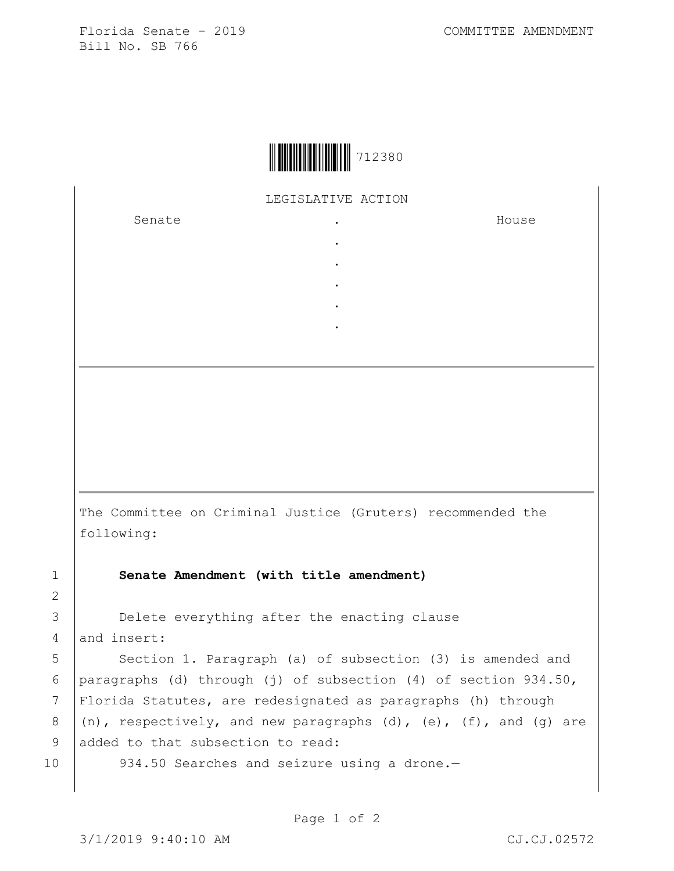Florida Senate - 2019 COMMITTEE AMENDMENT Bill No. SB 766



LEGISLATIVE ACTION

. . . . .

Senate the senate of the senate of the senate of  $\cdot$ 

House

The Committee on Criminal Justice (Gruters) recommended the following:

1 **Senate Amendment (with title amendment)**

3 **Delete everything after the enacting clause** 4 and insert:

5 | Section 1. Paragraph (a) of subsection (3) is amended and 6 | paragraphs (d) through (j) of subsection (4) of section  $934.50$ , 7 Florida Statutes, are redesignated as paragraphs (h) through 8  $(n)$ , respectively, and new paragraphs (d), (e), (f), and (g) are 9 added to that subsection to read:

10 934.50 Searches and seizure using a drone.-

2